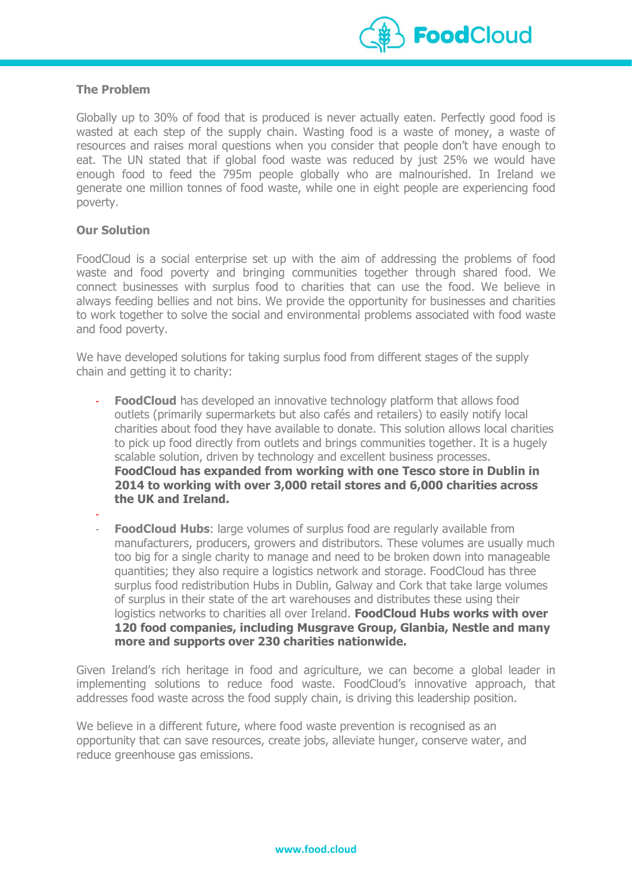

### **The Problem**

Globally up to 30% of food that is produced is never actually eaten. Perfectly good food is wasted at each step of the supply chain. Wasting food is a waste of money, a waste of resources and raises moral questions when you consider that people don't have enough to eat. The UN stated that if global food waste was reduced by just 25% we would have enough food to feed the 795m people globally who are malnourished. In Ireland we generate one million tonnes of food waste, while one in eight people are experiencing food poverty.

# **Our Solution**

FoodCloud is a social enterprise set up with the aim of addressing the problems of food waste and food poverty and bringing communities together through shared food. We connect businesses with surplus food to charities that can use the food. We believe in always feeding bellies and not bins. We provide the opportunity for businesses and charities to work together to solve the social and environmental problems associated with food waste and food poverty.

We have developed solutions for taking surplus food from different stages of the supply chain and getting it to charity:

- **FoodCloud** has developed an innovative technology platform that allows food outlets (primarily supermarkets but also cafés and retailers) to easily notify local charities about food they have available to donate. This solution allows local charities to pick up food directly from outlets and brings communities together. It is a hugely scalable solution, driven by technology and excellent business processes. **FoodCloud has expanded from working with one Tesco store in Dublin in 2014 to working with over 3,000 retail stores and 6,000 charities across the UK and Ireland.**
- **FoodCloud Hubs:** large volumes of surplus food are regularly available from manufacturers, producers, growers and distributors. These volumes are usually much too big for a single charity to manage and need to be broken down into manageable quantities; they also require a logistics network and storage. FoodCloud has three surplus food redistribution Hubs in Dublin, Galway and Cork that take large volumes of surplus in their state of the art warehouses and distributes these using their logistics networks to charities all over Ireland. **FoodCloud Hubs works with over 120 food companies, including Musgrave Group, Glanbia, Nestle and many more and supports over 230 charities nationwide.**

Given Ireland's rich heritage in food and agriculture, we can become a global leader in implementing solutions to reduce food waste. FoodCloud's innovative approach, that addresses food waste across the food supply chain, is driving this leadership position.

We believe in a different future, where food waste prevention is recognised as an opportunity that can save resources, create jobs, alleviate hunger, conserve water, and reduce greenhouse gas emissions.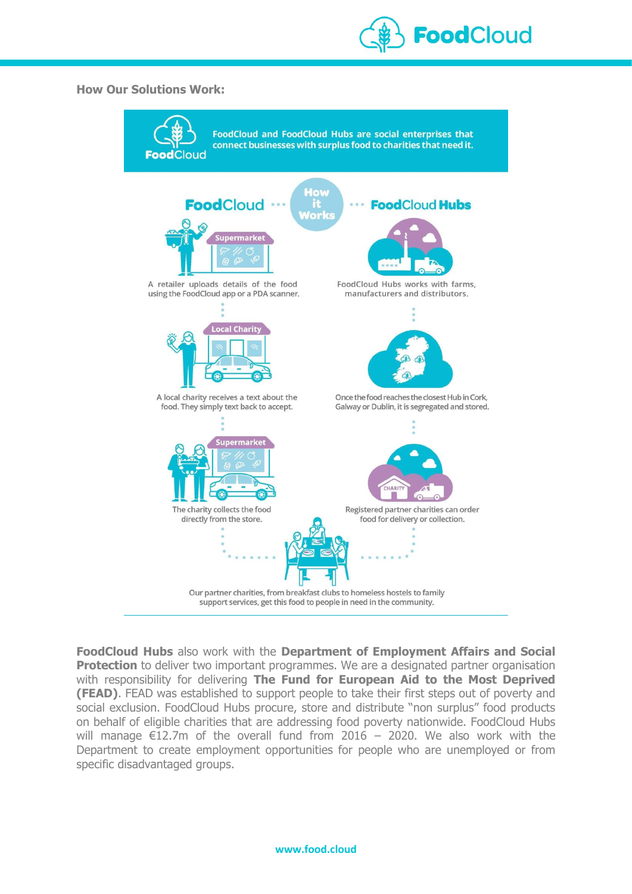

#### **How Our Solutions Work:**



**FoodCloud Hubs** also work with the **Department of Employment Affairs and Social Protection** to deliver two important programmes. We are a designated partner organisation with responsibility for delivering **The Fund for European Aid to the Most Deprived (FEAD)**. FEAD was established to support people to take their first steps out of poverty and social exclusion. FoodCloud Hubs procure, store and distribute "non surplus" food products on behalf of eligible charities that are addressing food poverty nationwide. FoodCloud Hubs will manage  $E12.7m$  of the overall fund from 2016 - 2020. We also work with the Department to create employment opportunities for people who are unemployed or from specific disadvantaged groups.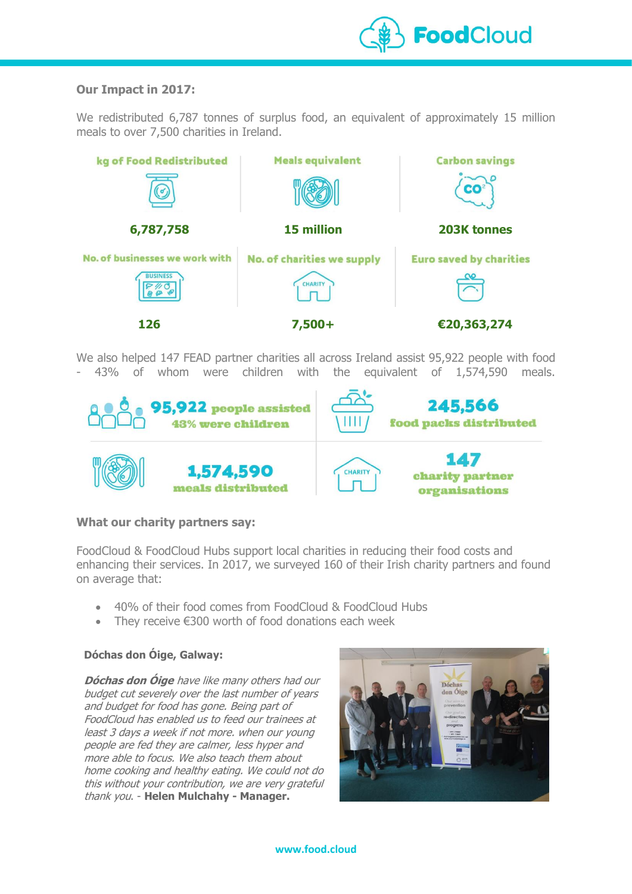

# **Our Impact in 2017:**

We redistributed 6,787 tonnes of surplus food, an equivalent of approximately 15 million meals to over 7,500 charities in Ireland.



We also helped 147 FEAD partner charities all across Ireland assist 95,922 people with food - 43% of whom were children with the equivalent of 1,574,590 meals.



# **What our charity partners say:**

FoodCloud & FoodCloud Hubs support local charities in reducing their food costs and enhancing their services. In 2017, we surveyed 160 of their Irish charity partners and found on average that:

- 40% of their food comes from FoodCloud & FoodCloud Hubs
- They receive €300 worth of food donations each week

# **Dóchas don Óige, Galway:**

**Dóchas don Óige** have like many others had our budget cut severely over the last number of years and budget for food has gone. Being part of FoodCloud has enabled us to feed our trainees at least 3 days a week if not more. when our young people are fed they are calmer, less hyper and more able to focus. We also teach them about home cooking and healthy eating. We could not do this without your contribution, we are very grateful thank you. - **Helen Mulchahy - Manager.**